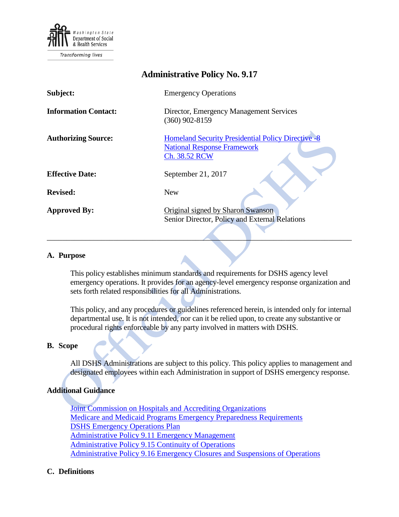

| <b>Administrative Policy No. 9.17</b> |                                                                                                                  |
|---------------------------------------|------------------------------------------------------------------------------------------------------------------|
| Subject:                              | <b>Emergency Operations</b>                                                                                      |
| <b>Information Contact:</b>           | Director, Emergency Management Services<br>$(360)$ 902-8159                                                      |
| <b>Authorizing Source:</b>            | <b>Homeland Security Presidential Policy Directive -8</b><br><b>National Response Framework</b><br>Ch. 38.52 RCW |
| <b>Effective Date:</b>                | September 21, 2017                                                                                               |
| <b>Revised:</b>                       | <b>New</b>                                                                                                       |
| <b>Approved By:</b>                   | Original signed by Sharon Swanson<br>Senior Director, Policy and External Relations                              |

#### **A. Purpose**

This policy establishes minimum standards and requirements for DSHS agency level emergency operations. It provides for an agency-level emergency response organization and sets forth related responsibilities for all Administrations.

This policy, and any procedures or guidelines referenced herein, is intended only for internal departmental use. It is not intended, nor can it be relied upon, to create any substantive or procedural rights enforceable by any party involved in matters with DSHS.

#### **B. Scope**

All DSHS Administrations are subject to this policy. This policy applies to management and designated employees within each Administration in support of DSHS emergency response.

### **Additional Guidance**

[Joint Commission on Hospitals and Accrediting Organizations](https://www.jointcommission.org/) [Medicare and Medicaid Programs Emergency Preparedness Requirements](https://s3.amazonaws.com/public-inspection.federalregister.gov/2016-21404.pdf) [DSHS Emergency Operations Plan](http://one.dshs.wa.lcl/EM/Operations/Pages/default.aspx) [Administrative Policy 9.11 Emergency Management](http://one.dshs.wa.lcl/Policies/Administrative/DSHS-AP-09-11.pdf) [Administrative Policy 9.15 Continuity of Operations](http://one.dshs.wa.lcl/Policies/Administrative/DSHS-AP-09-15.pdf) [Administrative Policy 9.16 Emergency Closures and Suspensions of Operations](http://one.dshs.wa.lcl/Policies/Administrative/DSHS-AP-09-16.pdf)

### **C. Definitions**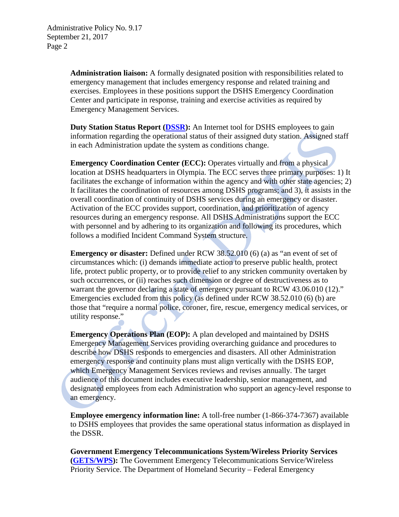**Administration liaison:** A formally designated position with responsibilities related to emergency management that includes emergency response and related training and exercises. Employees in these positions support the DSHS Emergency Coordination Center and participate in response, training and exercise activities as required by Emergency Management Services.

**Duty Station Status Report [\(DSSR\)](https://www.dshs.wa.gov/sesa/information-systems-services-division/dutystation):** An Internet tool for DSHS employees to gain information regarding the operational status of their assigned duty station. Assigned staff in each Administration update the system as conditions change.

**Emergency Coordination Center (ECC):** Operates virtually and from a physical location at DSHS headquarters in Olympia. The ECC serves three primary purposes: 1) It facilitates the exchange of information within the agency and with other state agencies; 2) It facilitates the coordination of resources among DSHS programs; and 3), it assists in the overall coordination of continuity of DSHS services during an emergency or disaster. Activation of the ECC provides support, coordination, and prioritization of agency resources during an emergency response. All DSHS Administrations support the ECC with personnel and by adhering to its organization and following its procedures, which follows a modified Incident Command System structure.

**Emergency or disaster:** Defined under RCW 38.52.010 (6) (a) as "an event of set of circumstances which: (i) demands immediate action to preserve public health, protect life, protect public property, or to provide relief to any stricken community overtaken by such occurrences, or (ii) reaches such dimension or degree of destructiveness as to warrant the governor declaring a state of emergency pursuant to RCW 43.06.010 (12)." Emergencies excluded from this policy (as defined under RCW 38.52.010 (6) (b) are those that "require a normal police, coroner, fire, rescue, emergency medical services, or utility response."

**Emergency Operations Plan (EOP):** A plan developed and maintained by DSHS Emergency Management Services providing overarching guidance and procedures to describe how DSHS responds to emergencies and disasters. All other Administration emergency response and continuity plans must align vertically with the DSHS EOP, which Emergency Management Services reviews and revises annually. The target audience of this document includes executive leadership, senior management, and designated employees from each Administration who support an agency-level response to an emergency.

**Employee emergency information line:** A toll-free number (1-866-374-7367) available to DSHS employees that provides the same operational status information as displayed in the DSSR.

**Government Emergency Telecommunications System/Wireless Priority Services [\(GETS/WPS\)](https://www.dhs.gov/government-emergency-telecommunications-service-gets):** The Government Emergency Telecommunications Service/Wireless Priority Service. The Department of Homeland Security – Federal Emergency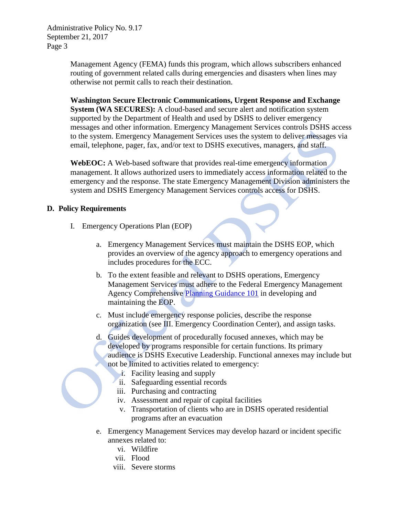Administrative Policy No. 9.17 September 21, 2017 Page 3

> Management Agency (FEMA) funds this program, which allows subscribers enhanced routing of government related calls during emergencies and disasters when lines may otherwise not permit calls to reach their destination.

**Washington Secure Electronic Communications, Urgent Response and Exchange System (WA SECURES):** A cloud-based and secure alert and notification system supported by the Department of Health and used by DSHS to deliver emergency messages and other information. Emergency Management Services controls DSHS access to the system. Emergency Management Services uses the system to deliver messages via email, telephone, pager, fax, and/or text to DSHS executives, managers, and staff.

**WebEOC:** A Web-based software that provides real-time emergency information management. It allows authorized users to immediately access information related to the emergency and the response. The state Emergency Management Division administers the system and DSHS Emergency Management Services controls access for DSHS.

# **D. Policy Requirements**

- I. Emergency Operations Plan (EOP)
	- a. Emergency Management Services must maintain the DSHS EOP, which provides an overview of the agency approach to emergency operations and includes procedures for the ECC.
	- b. To the extent feasible and relevant to DSHS operations, Emergency Management Services must adhere to the Federal Emergency Management Agency Comprehensive [Planning Guidance 101](https://www.fema.gov/media-library-data/20130726-1828-25045-0014/cpg_101_comprehensive_preparedness_guide_developing_and_maintaining_emergency_operations_plans_2010.pdf) in developing and maintaining the EOP.
	- c. Must include emergency response policies, describe the response organization (see III. Emergency Coordination Center), and assign tasks.
	- d. Guides development of procedurally focused annexes, which may be developed by programs responsible for certain functions. Its primary audience is DSHS Executive Leadership. Functional annexes may include but not be limited to activities related to emergency:
		- i. Facility leasing and supply
		- ii. Safeguarding essential records
		- iii. Purchasing and contracting
		- iv. Assessment and repair of capital facilities
		- v. Transportation of clients who are in DSHS operated residential programs after an evacuation
	- e. Emergency Management Services may develop hazard or incident specific annexes related to:
		- vi. Wildfire
		- vii. Flood
		- viii. Severe storms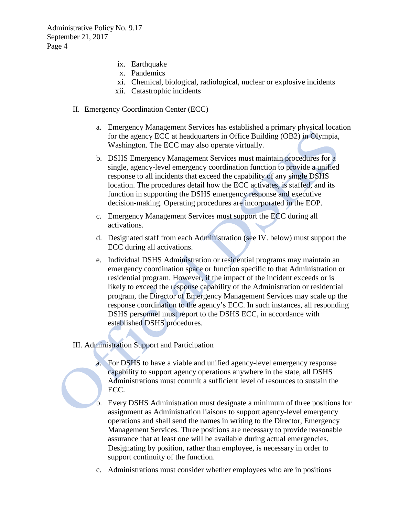Administrative Policy No. 9.17 September 21, 2017 Page 4

- ix. Earthquake
- x. Pandemics
- xi. Chemical, biological, radiological, nuclear or explosive incidents
- xii. Catastrophic incidents
- II. Emergency Coordination Center (ECC)
	- a. Emergency Management Services has established a primary physical location for the agency ECC at headquarters in Office Building (OB2) in Olympia, Washington. The ECC may also operate virtually.
	- b. DSHS Emergency Management Services must maintain procedures for a single, agency-level emergency coordination function to provide a unified response to all incidents that exceed the capability of any single DSHS location. The procedures detail how the ECC activates, is staffed, and its function in supporting the DSHS emergency response and executive decision-making. Operating procedures are incorporated in the EOP.
	- c. Emergency Management Services must support the ECC during all activations.
	- d. Designated staff from each Administration (see IV. below) must support the ECC during all activations.
	- e. Individual DSHS Administration or residential programs may maintain an emergency coordination space or function specific to that Administration or residential program. However, if the impact of the incident exceeds or is likely to exceed the response capability of the Administration or residential program, the Director of Emergency Management Services may scale up the response coordination to the agency's ECC. In such instances, all responding DSHS personnel must report to the DSHS ECC, in accordance with established DSHS procedures.

# III. Administration Support and Participation

- a. For DSHS to have a viable and unified agency-level emergency response capability to support agency operations anywhere in the state, all DSHS Administrations must commit a sufficient level of resources to sustain the ECC.
- b. Every DSHS Administration must designate a minimum of three positions for assignment as Administration liaisons to support agency-level emergency operations and shall send the names in writing to the Director, Emergency Management Services. Three positions are necessary to provide reasonable assurance that at least one will be available during actual emergencies. Designating by position, rather than employee, is necessary in order to support continuity of the function.
- c. Administrations must consider whether employees who are in positions